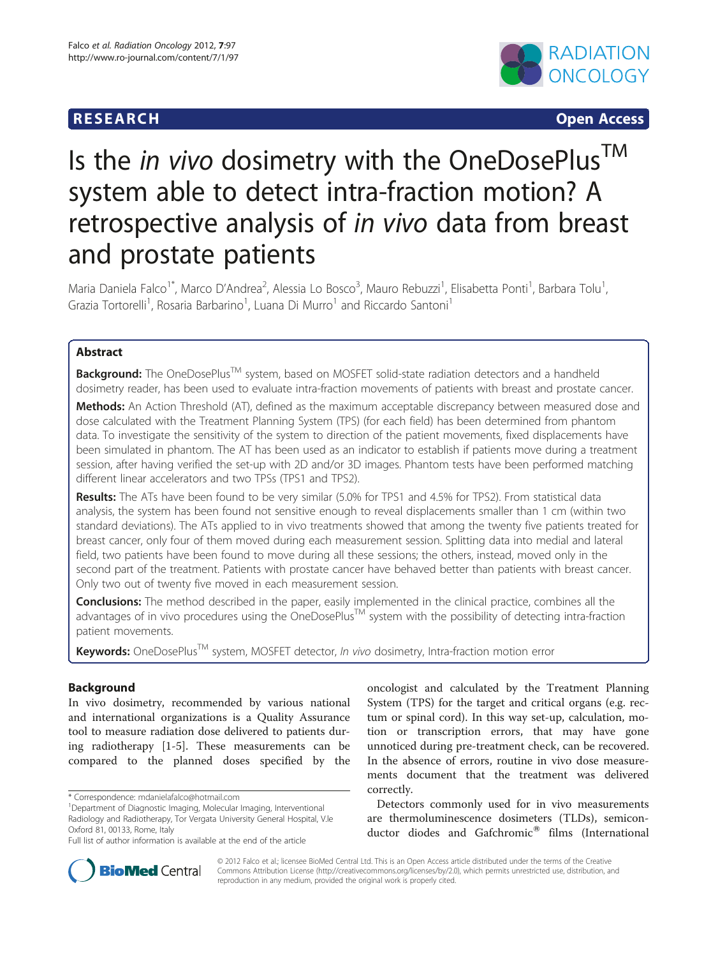# **RESEARCH CHINESE ARCH CHINESE ARCH CHINESE ARCH**



# Is the in vivo dosimetry with the OneDosePlus<sup>TM</sup> system able to detect intra-fraction motion? A retrospective analysis of in vivo data from breast and prostate patients

Maria Daniela Falco<sup>1\*</sup>, Marco D'Andrea<sup>2</sup>, Alessia Lo Bosco<sup>3</sup>, Mauro Rebuzzi<sup>1</sup>, Elisabetta Ponti<sup>1</sup>, Barbara Tolu<sup>1</sup> , Grazia Tortorelli<sup>1</sup>, Rosaria Barbarino<sup>1</sup>, Luana Di Murro<sup>1</sup> and Riccardo Santoni<sup>1</sup>

# Abstract

Background: The OneDosePlus<sup>TM</sup> system, based on MOSFET solid-state radiation detectors and a handheld dosimetry reader, has been used to evaluate intra-fraction movements of patients with breast and prostate cancer.

Methods: An Action Threshold (AT), defined as the maximum acceptable discrepancy between measured dose and dose calculated with the Treatment Planning System (TPS) (for each field) has been determined from phantom data. To investigate the sensitivity of the system to direction of the patient movements, fixed displacements have been simulated in phantom. The AT has been used as an indicator to establish if patients move during a treatment session, after having verified the set-up with 2D and/or 3D images. Phantom tests have been performed matching different linear accelerators and two TPSs (TPS1 and TPS2).

Results: The ATs have been found to be very similar (5.0% for TPS1 and 4.5% for TPS2). From statistical data analysis, the system has been found not sensitive enough to reveal displacements smaller than 1 cm (within two standard deviations). The ATs applied to in vivo treatments showed that among the twenty five patients treated for breast cancer, only four of them moved during each measurement session. Splitting data into medial and lateral field, two patients have been found to move during all these sessions; the others, instead, moved only in the second part of the treatment. Patients with prostate cancer have behaved better than patients with breast cancer. Only two out of twenty five moved in each measurement session.

**Conclusions:** The method described in the paper, easily implemented in the clinical practice, combines all the advantages of in vivo procedures using the OneDosePlus<sup>TM</sup> system with the possibility of detecting intra-fraction patient movements.

Keywords: OneDosePlus™ system, MOSFET detector, *In vivo* dosimetry, Intra-fraction motion error

# Background

In vivo dosimetry, recommended by various national and international organizations is a Quality Assurance tool to measure radiation dose delivered to patients during radiotherapy [1-5]. These measurements can be compared to the planned doses specified by the

\* Correspondence: mdanielafalco@hotmail.com <sup>1</sup>

oncologist and calculated by the Treatment Planning System (TPS) for the target and critical organs (e.g. rectum or spinal cord). In this way set-up, calculation, motion or transcription errors, that may have gone unnoticed during pre-treatment check, can be recovered. In the absence of errors, routine in vivo dose measurements document that the treatment was delivered correctly.

Detectors commonly used for in vivo measurements are thermoluminescence dosimeters (TLDs), semiconductor diodes and Gafchromic® films (International



© 2012 Falco et al.; licensee BioMed Central Ltd. This is an Open Access article distributed under the terms of the Creative Commons Attribution License (http://creativecommons.org/licenses/by/2.0), which permits unrestricted use, distribution, and reproduction in any medium, provided the original work is properly cited.

Department of Diagnostic Imaging, Molecular Imaging, Interventional Radiology and Radiotherapy, Tor Vergata University General Hospital, V.le Oxford 81, 00133, Rome, Italy

Full list of author information is available at the end of the article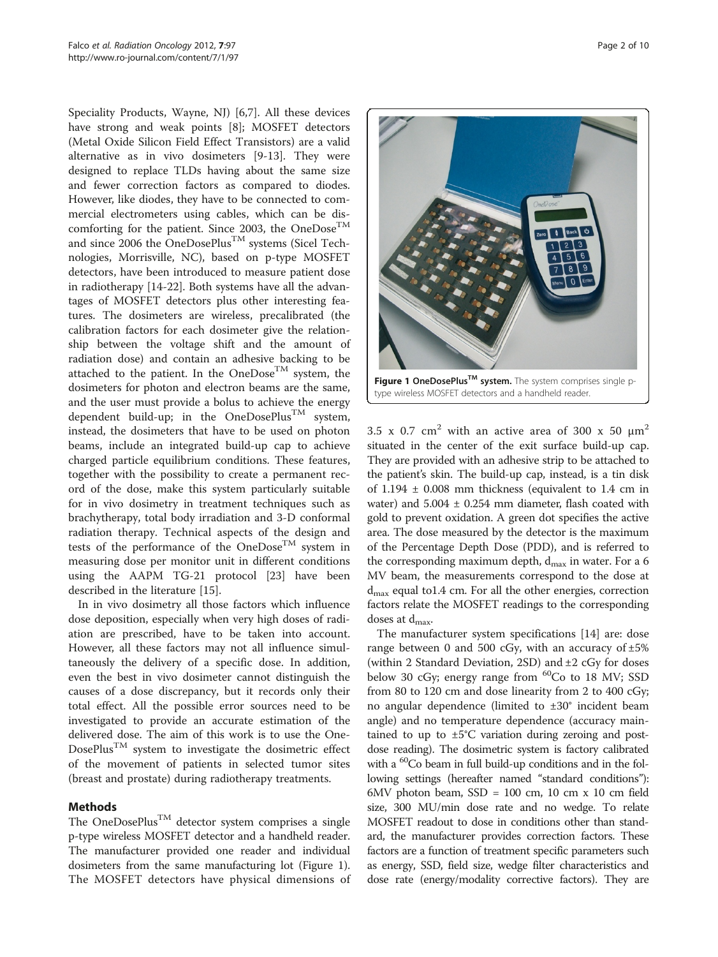Speciality Products, Wayne, NJ) [6,7]. All these devices have strong and weak points [8]; MOSFET detectors (Metal Oxide Silicon Field Effect Transistors) are a valid alternative as in vivo dosimeters [9-13]. They were designed to replace TLDs having about the same size and fewer correction factors as compared to diodes. However, like diodes, they have to be connected to commercial electrometers using cables, which can be discomforting for the patient. Since 2003, the OneDose<sup>TM</sup> and since 2006 the OneDosePlus<sup>TM</sup> systems (Sicel Technologies, Morrisville, NC), based on p-type MOSFET detectors, have been introduced to measure patient dose in radiotherapy [14-22]. Both systems have all the advantages of MOSFET detectors plus other interesting features. The dosimeters are wireless, precalibrated (the calibration factors for each dosimeter give the relationship between the voltage shift and the amount of radiation dose) and contain an adhesive backing to be attached to the patient. In the OneDose<sup>TM</sup> system, the dosimeters for photon and electron beams are the same, and the user must provide a bolus to achieve the energy dependent build-up; in the OneDosePlus<sup>TM</sup> system, instead, the dosimeters that have to be used on photon beams, include an integrated build-up cap to achieve charged particle equilibrium conditions. These features, together with the possibility to create a permanent record of the dose, make this system particularly suitable for in vivo dosimetry in treatment techniques such as brachytherapy, total body irradiation and 3-D conformal radiation therapy. Technical aspects of the design and tests of the performance of the OneDose $^{TM}$  system in measuring dose per monitor unit in different conditions using the AAPM TG-21 protocol [23] have been described in the literature [15].

In in vivo dosimetry all those factors which influence dose deposition, especially when very high doses of radiation are prescribed, have to be taken into account. However, all these factors may not all influence simultaneously the delivery of a specific dose. In addition, even the best in vivo dosimeter cannot distinguish the causes of a dose discrepancy, but it records only their total effect. All the possible error sources need to be investigated to provide an accurate estimation of the delivered dose. The aim of this work is to use the One- $\mathrm{DosePlus}^{\mathrm{TM}}$  system to investigate the dosimetric effect of the movement of patients in selected tumor sites (breast and prostate) during radiotherapy treatments.

# Methods

The OneDosePlus<sup>TM</sup> detector system comprises a single p-type wireless MOSFET detector and a handheld reader. The manufacturer provided one reader and individual dosimeters from the same manufacturing lot (Figure 1). The MOSFET detectors have physical dimensions of



3.5 x 0.7 cm<sup>2</sup> with an active area of 300 x 50  $\mu$ m<sup>2</sup> situated in the center of the exit surface build-up cap. They are provided with an adhesive strip to be attached to the patient's skin. The build-up cap, instead, is a tin disk of  $1.194 \pm 0.008$  mm thickness (equivalent to 1.4 cm in water) and  $5.004 \pm 0.254$  mm diameter, flash coated with gold to prevent oxidation. A green dot specifies the active area. The dose measured by the detector is the maximum of the Percentage Depth Dose (PDD), and is referred to the corresponding maximum depth,  $d_{max}$  in water. For a 6 MV beam, the measurements correspond to the dose at  $d_{\text{max}}$  equal to1.4 cm. For all the other energies, correction factors relate the MOSFET readings to the corresponding doses at  $d_{\text{max}}$ .

The manufacturer system specifications [14] are: dose range between 0 and 500 cGy, with an accuracy of  $\pm 5\%$ (within 2 Standard Deviation, 2SD) and ±2 cGy for doses below 30 cGy; energy range from  ${}^{60}Co$  to 18 MV; SSD from 80 to 120 cm and dose linearity from 2 to 400 cGy; no angular dependence (limited to ±30° incident beam angle) and no temperature dependence (accuracy maintained to up to  $\pm 5^{\circ}$ C variation during zeroing and postdose reading). The dosimetric system is factory calibrated with a <sup>60</sup>Co beam in full build-up conditions and in the following settings (hereafter named "standard conditions"):  $6MV$  photon beam,  $SSD = 100$  cm, 10 cm x 10 cm field size, 300 MU/min dose rate and no wedge. To relate MOSFET readout to dose in conditions other than standard, the manufacturer provides correction factors. These factors are a function of treatment specific parameters such as energy, SSD, field size, wedge filter characteristics and dose rate (energy/modality corrective factors). They are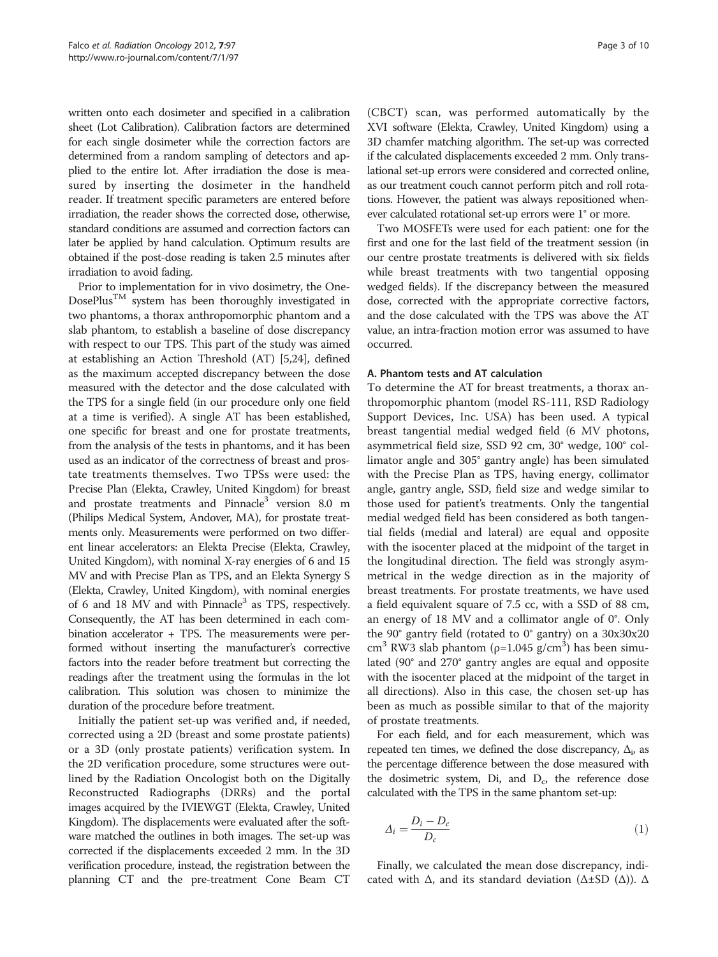written onto each dosimeter and specified in a calibration sheet (Lot Calibration). Calibration factors are determined for each single dosimeter while the correction factors are determined from a random sampling of detectors and applied to the entire lot. After irradiation the dose is measured by inserting the dosimeter in the handheld reader. If treatment specific parameters are entered before irradiation, the reader shows the corrected dose, otherwise, standard conditions are assumed and correction factors can later be applied by hand calculation. Optimum results are obtained if the post-dose reading is taken 2.5 minutes after irradiation to avoid fading.

Prior to implementation for in vivo dosimetry, the One- $DosePlus<sup>TM</sup>$  system has been thoroughly investigated in two phantoms, a thorax anthropomorphic phantom and a slab phantom, to establish a baseline of dose discrepancy with respect to our TPS. This part of the study was aimed at establishing an Action Threshold (AT) [5,24], defined as the maximum accepted discrepancy between the dose measured with the detector and the dose calculated with the TPS for a single field (in our procedure only one field at a time is verified). A single AT has been established, one specific for breast and one for prostate treatments, from the analysis of the tests in phantoms, and it has been used as an indicator of the correctness of breast and prostate treatments themselves. Two TPSs were used: the Precise Plan (Elekta, Crawley, United Kingdom) for breast and prostate treatments and Pinnacle<sup>3</sup> version 8.0 m (Philips Medical System, Andover, MA), for prostate treatments only. Measurements were performed on two different linear accelerators: an Elekta Precise (Elekta, Crawley, United Kingdom), with nominal X-ray energies of 6 and 15 MV and with Precise Plan as TPS, and an Elekta Synergy S (Elekta, Crawley, United Kingdom), with nominal energies of 6 and 18 MV and with Pinnacle<sup>3</sup> as TPS, respectively. Consequently, the AT has been determined in each combination accelerator + TPS. The measurements were performed without inserting the manufacturer's corrective factors into the reader before treatment but correcting the readings after the treatment using the formulas in the lot calibration. This solution was chosen to minimize the duration of the procedure before treatment.

Initially the patient set-up was verified and, if needed, corrected using a 2D (breast and some prostate patients) or a 3D (only prostate patients) verification system. In the 2D verification procedure, some structures were outlined by the Radiation Oncologist both on the Digitally Reconstructed Radiographs (DRRs) and the portal images acquired by the IVIEWGT (Elekta, Crawley, United Kingdom). The displacements were evaluated after the software matched the outlines in both images. The set-up was corrected if the displacements exceeded 2 mm. In the 3D verification procedure, instead, the registration between the planning CT and the pre-treatment Cone Beam CT

(CBCT) scan, was performed automatically by the XVI software (Elekta, Crawley, United Kingdom) using a 3D chamfer matching algorithm. The set-up was corrected if the calculated displacements exceeded 2 mm. Only translational set-up errors were considered and corrected online, as our treatment couch cannot perform pitch and roll rotations. However, the patient was always repositioned whenever calculated rotational set-up errors were 1° or more.

Two MOSFETs were used for each patient: one for the first and one for the last field of the treatment session (in our centre prostate treatments is delivered with six fields while breast treatments with two tangential opposing wedged fields). If the discrepancy between the measured dose, corrected with the appropriate corrective factors, and the dose calculated with the TPS was above the AT value, an intra-fraction motion error was assumed to have occurred.

#### A. Phantom tests and AT calculation

To determine the AT for breast treatments, a thorax anthropomorphic phantom (model RS-111, RSD Radiology Support Devices, Inc. USA) has been used. A typical breast tangential medial wedged field (6 MV photons, asymmetrical field size, SSD 92 cm, 30° wedge, 100° collimator angle and 305° gantry angle) has been simulated with the Precise Plan as TPS, having energy, collimator angle, gantry angle, SSD, field size and wedge similar to those used for patient's treatments. Only the tangential medial wedged field has been considered as both tangential fields (medial and lateral) are equal and opposite with the isocenter placed at the midpoint of the target in the longitudinal direction. The field was strongly asymmetrical in the wedge direction as in the majority of breast treatments. For prostate treatments, we have used a field equivalent square of 7.5 cc, with a SSD of 88 cm, an energy of 18 MV and a collimator angle of 0°. Only the 90° gantry field (rotated to 0° gantry) on a 30x30x20 cm<sup>3</sup> RW3 slab phantom ( $\rho$ =1.045 g/cm<sup>3</sup>) has been simulated (90° and 270° gantry angles are equal and opposite with the isocenter placed at the midpoint of the target in all directions). Also in this case, the chosen set-up has been as much as possible similar to that of the majority of prostate treatments.

For each field, and for each measurement, which was repeated ten times, we defined the dose discrepancy,  $\Delta_{i}$ , as the percentage difference between the dose measured with the dosimetric system, Di, and  $D_c$ , the reference dose calculated with the TPS in the same phantom set-up:

$$
\Delta_i = \frac{D_i - D_c}{D_c} \tag{1}
$$

Finally, we calculated the mean dose discrepancy, indicated with  $\Delta$ , and its standard deviation ( $\Delta \pm SD$  ( $\Delta$ )).  $\Delta$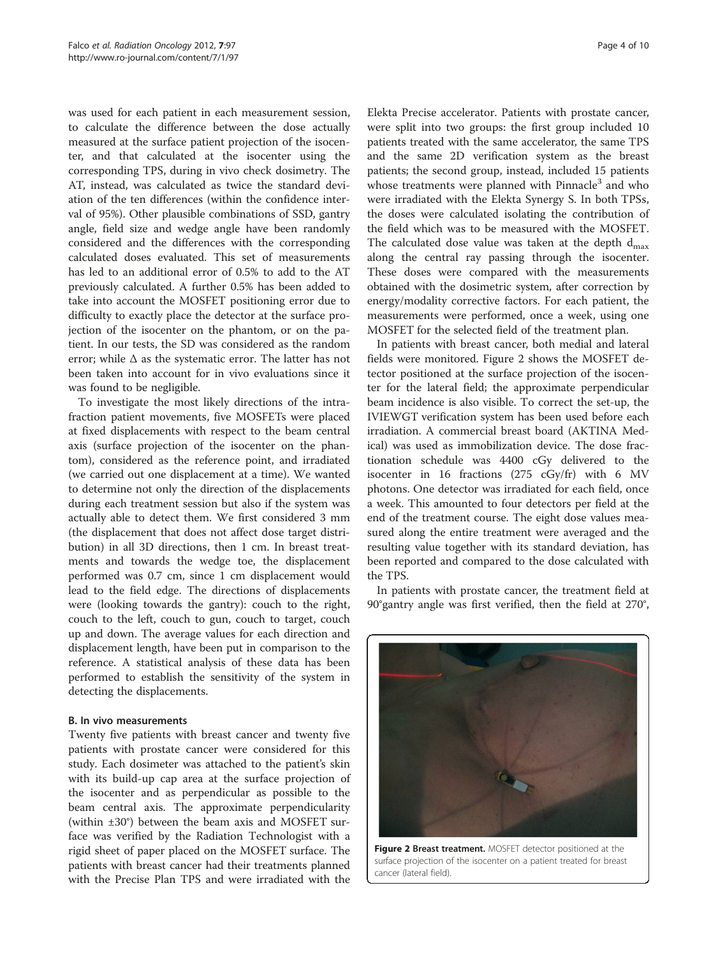was used for each patient in each measurement session, to calculate the difference between the dose actually measured at the surface patient projection of the isocenter, and that calculated at the isocenter using the corresponding TPS, during in vivo check dosimetry. The AT, instead, was calculated as twice the standard deviation of the ten differences (within the confidence interval of 95%). Other plausible combinations of SSD, gantry angle, field size and wedge angle have been randomly considered and the differences with the corresponding calculated doses evaluated. This set of measurements has led to an additional error of 0.5% to add to the AT previously calculated. A further 0.5% has been added to take into account the MOSFET positioning error due to difficulty to exactly place the detector at the surface projection of the isocenter on the phantom, or on the patient. In our tests, the SD was considered as the random error; while  $\Delta$  as the systematic error. The latter has not been taken into account for in vivo evaluations since it was found to be negligible.

To investigate the most likely directions of the intrafraction patient movements, five MOSFETs were placed at fixed displacements with respect to the beam central axis (surface projection of the isocenter on the phantom), considered as the reference point, and irradiated (we carried out one displacement at a time). We wanted to determine not only the direction of the displacements during each treatment session but also if the system was actually able to detect them. We first considered 3 mm (the displacement that does not affect dose target distribution) in all 3D directions, then 1 cm. In breast treatments and towards the wedge toe, the displacement performed was 0.7 cm, since 1 cm displacement would lead to the field edge. The directions of displacements were (looking towards the gantry): couch to the right, couch to the left, couch to gun, couch to target, couch up and down. The average values for each direction and displacement length, have been put in comparison to the reference. A statistical analysis of these data has been performed to establish the sensitivity of the system in detecting the displacements.

#### B. In vivo measurements

Twenty five patients with breast cancer and twenty five patients with prostate cancer were considered for this study. Each dosimeter was attached to the patient's skin with its build-up cap area at the surface projection of the isocenter and as perpendicular as possible to the beam central axis. The approximate perpendicularity (within ±30°) between the beam axis and MOSFET surface was verified by the Radiation Technologist with a rigid sheet of paper placed on the MOSFET surface. The patients with breast cancer had their treatments planned with the Precise Plan TPS and were irradiated with the

Elekta Precise accelerator. Patients with prostate cancer, were split into two groups: the first group included 10 patients treated with the same accelerator, the same TPS and the same 2D verification system as the breast patients; the second group, instead, included 15 patients whose treatments were planned with Pinnacle<sup>3</sup> and who were irradiated with the Elekta Synergy S. In both TPSs, the doses were calculated isolating the contribution of the field which was to be measured with the MOSFET. The calculated dose value was taken at the depth  $d_{max}$ along the central ray passing through the isocenter. These doses were compared with the measurements obtained with the dosimetric system, after correction by energy/modality corrective factors. For each patient, the measurements were performed, once a week, using one MOSFET for the selected field of the treatment plan.

In patients with breast cancer, both medial and lateral fields were monitored. Figure 2 shows the MOSFET detector positioned at the surface projection of the isocenter for the lateral field; the approximate perpendicular beam incidence is also visible. To correct the set-up, the IVIEWGT verification system has been used before each irradiation. A commercial breast board (AKTINA Medical) was used as immobilization device. The dose fractionation schedule was 4400 cGy delivered to the isocenter in 16 fractions (275 cGy/fr) with 6 MV photons. One detector was irradiated for each field, once a week. This amounted to four detectors per field at the end of the treatment course. The eight dose values measured along the entire treatment were averaged and the resulting value together with its standard deviation, has been reported and compared to the dose calculated with the TPS.

In patients with prostate cancer, the treatment field at 90°gantry angle was first verified, then the field at 270°,



Figure 2 Breast treatment. MOSFET detector positioned at the surface projection of the isocenter on a patient treated for breast cancer (lateral field).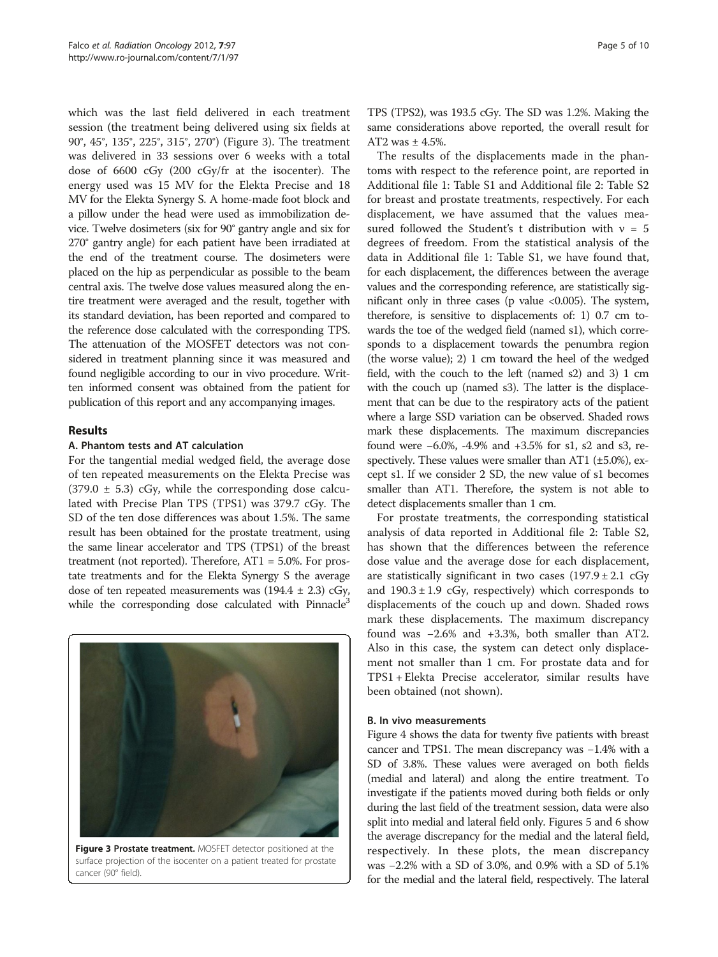which was the last field delivered in each treatment session (the treatment being delivered using six fields at 90°, 45°, 135°, 225°, 315°, 270°) (Figure 3). The treatment was delivered in 33 sessions over 6 weeks with a total dose of 6600 cGy (200 cGy/fr at the isocenter). The energy used was 15 MV for the Elekta Precise and 18 MV for the Elekta Synergy S. A home-made foot block and a pillow under the head were used as immobilization device. Twelve dosimeters (six for 90° gantry angle and six for 270° gantry angle) for each patient have been irradiated at the end of the treatment course. The dosimeters were placed on the hip as perpendicular as possible to the beam central axis. The twelve dose values measured along the entire treatment were averaged and the result, together with its standard deviation, has been reported and compared to the reference dose calculated with the corresponding TPS. The attenuation of the MOSFET detectors was not considered in treatment planning since it was measured and found negligible according to our in vivo procedure. Written informed consent was obtained from the patient for publication of this report and any accompanying images.

# Results

#### A. Phantom tests and AT calculation

For the tangential medial wedged field, the average dose of ten repeated measurements on the Elekta Precise was (379.0  $\pm$  5.3) cGy, while the corresponding dose calculated with Precise Plan TPS (TPS1) was 379.7 cGy. The SD of the ten dose differences was about 1.5%. The same result has been obtained for the prostate treatment, using the same linear accelerator and TPS (TPS1) of the breast treatment (not reported). Therefore, AT1 = 5.0%. For prostate treatments and for the Elekta Synergy S the average dose of ten repeated measurements was  $(194.4 \pm 2.3)$  cGy, while the corresponding dose calculated with Pinnacle<sup>3</sup>



Figure 3 Prostate treatment. MOSFET detector positioned at the surface projection of the isocenter on a patient treated for prostate cancer (90° field).

TPS (TPS2), was 193.5 cGy. The SD was 1.2%. Making the same considerations above reported, the overall result for AT2 was  $\pm$  4.5%.

The results of the displacements made in the phantoms with respect to the reference point, are reported in Additional file 1: Table S1 and Additional file 2: Table S2 for breast and prostate treatments, respectively. For each displacement, we have assumed that the values measured followed the Student's t distribution with  $v = 5$ degrees of freedom. From the statistical analysis of the data in Additional file 1: Table S1, we have found that, for each displacement, the differences between the average values and the corresponding reference, are statistically significant only in three cases (p value  $<0.005$ ). The system, therefore, is sensitive to displacements of: 1) 0.7 cm towards the toe of the wedged field (named s1), which corresponds to a displacement towards the penumbra region (the worse value); 2) 1 cm toward the heel of the wedged field, with the couch to the left (named s2) and 3) 1 cm with the couch up (named s3). The latter is the displacement that can be due to the respiratory acts of the patient where a large SSD variation can be observed. Shaded rows mark these displacements. The maximum discrepancies found were −6.0%, -4.9% and +3.5% for s1, s2 and s3, respectively. These values were smaller than AT1  $(\pm 5.0\%)$ , except s1. If we consider 2 SD, the new value of s1 becomes smaller than AT1. Therefore, the system is not able to detect displacements smaller than 1 cm.

For prostate treatments, the corresponding statistical analysis of data reported in Additional file 2: Table S2, has shown that the differences between the reference dose value and the average dose for each displacement, are statistically significant in two cases  $(197.9 \pm 2.1 \text{ cGy})$ and  $190.3 \pm 1.9$  cGy, respectively) which corresponds to displacements of the couch up and down. Shaded rows mark these displacements. The maximum discrepancy found was −2.6% and +3.3%, both smaller than AT2. Also in this case, the system can detect only displacement not smaller than 1 cm. For prostate data and for TPS1 + Elekta Precise accelerator, similar results have been obtained (not shown).

#### B. In vivo measurements

Figure 4 shows the data for twenty five patients with breast cancer and TPS1. The mean discrepancy was −1.4% with a SD of 3.8%. These values were averaged on both fields (medial and lateral) and along the entire treatment. To investigate if the patients moved during both fields or only during the last field of the treatment session, data were also split into medial and lateral field only. Figures 5 and 6 show the average discrepancy for the medial and the lateral field, respectively. In these plots, the mean discrepancy was −2.2% with a SD of 3.0%, and 0.9% with a SD of 5.1% for the medial and the lateral field, respectively. The lateral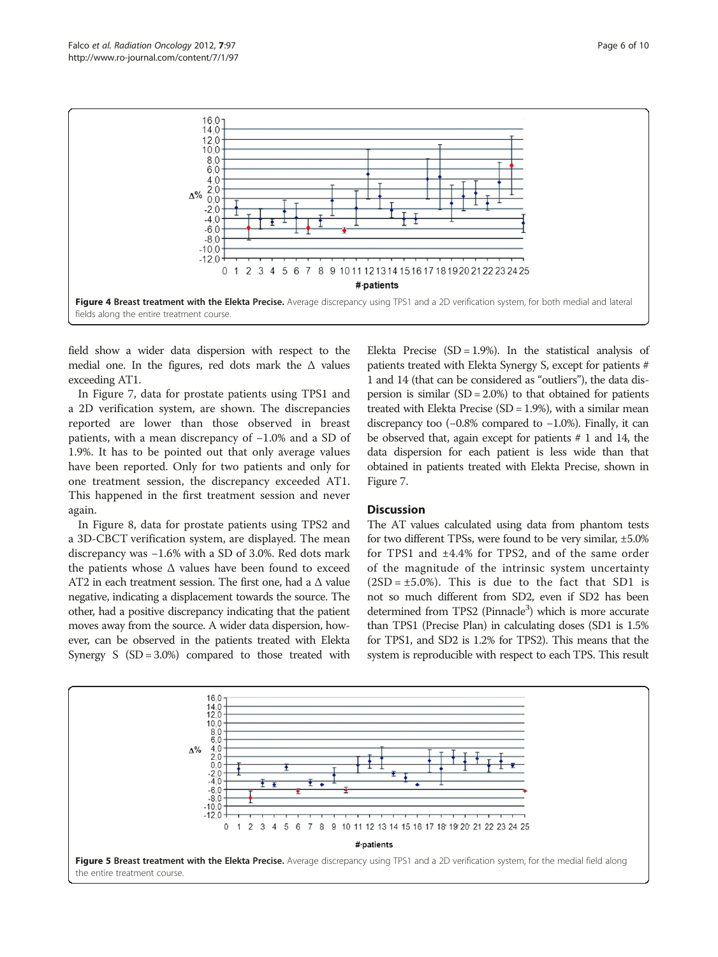

field show a wider data dispersion with respect to the medial one. In the figures, red dots mark the  $\Delta$  values exceeding AT1.

In Figure 7, data for prostate patients using TPS1 and a 2D verification system, are shown. The discrepancies reported are lower than those observed in breast patients, with a mean discrepancy of −1.0% and a SD of 1.9%. It has to be pointed out that only average values have been reported. Only for two patients and only for one treatment session, the discrepancy exceeded AT1. This happened in the first treatment session and never again.

In Figure 8, data for prostate patients using TPS2 and a 3D-CBCT verification system, are displayed. The mean discrepancy was −1.6% with a SD of 3.0%. Red dots mark the patients whose  $\Delta$  values have been found to exceed AT2 in each treatment session. The first one, had a  $\Delta$  value negative, indicating a displacement towards the source. The other, had a positive discrepancy indicating that the patient moves away from the source. A wider data dispersion, however, can be observed in the patients treated with Elekta Synergy S  $(SD = 3.0\%)$  compared to those treated with Elekta Precise  $(SD = 1.9\%)$ . In the statistical analysis of patients treated with Elekta Synergy S, except for patients # 1 and 14 (that can be considered as "outliers"), the data dispersion is similar  $(SD = 2.0\%)$  to that obtained for patients treated with Elekta Precise (SD = 1.9%), with a similar mean discrepancy too (−0.8% compared to −1.0%). Finally, it can be observed that, again except for patients # 1 and 14, the data dispersion for each patient is less wide than that obtained in patients treated with Elekta Precise, shown in Figure 7.

#### **Discussion**

The AT values calculated using data from phantom tests for two different TPSs, were found to be very similar, ±5.0% for TPS1 and ±4.4% for TPS2, and of the same order of the magnitude of the intrinsic system uncertainty  $(2SD = \pm 5.0\%)$ . This is due to the fact that SD1 is not so much different from SD2, even if SD2 has been determined from TPS2 (Pinnacle<sup>3</sup>) which is more accurate than TPS1 (Precise Plan) in calculating doses (SD1 is 1.5% for TPS1, and SD2 is 1.2% for TPS2). This means that the system is reproducible with respect to each TPS. This result

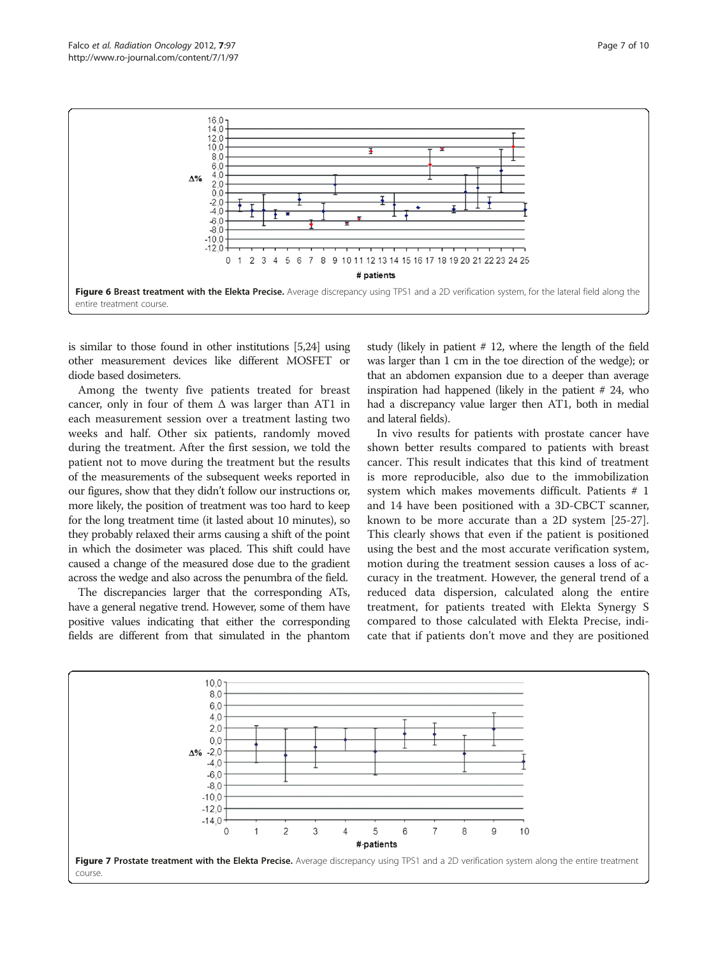

is similar to those found in other institutions [5,24] using other measurement devices like different MOSFET or diode based dosimeters.

Among the twenty five patients treated for breast cancer, only in four of them  $\Delta$  was larger than AT1 in each measurement session over a treatment lasting two weeks and half. Other six patients, randomly moved during the treatment. After the first session, we told the patient not to move during the treatment but the results of the measurements of the subsequent weeks reported in our figures, show that they didn't follow our instructions or, more likely, the position of treatment was too hard to keep for the long treatment time (it lasted about 10 minutes), so they probably relaxed their arms causing a shift of the point in which the dosimeter was placed. This shift could have caused a change of the measured dose due to the gradient across the wedge and also across the penumbra of the field.

The discrepancies larger that the corresponding ATs, have a general negative trend. However, some of them have positive values indicating that either the corresponding fields are different from that simulated in the phantom study (likely in patient # 12, where the length of the field was larger than 1 cm in the toe direction of the wedge); or that an abdomen expansion due to a deeper than average inspiration had happened (likely in the patient # 24, who had a discrepancy value larger then AT1, both in medial and lateral fields).

In vivo results for patients with prostate cancer have shown better results compared to patients with breast cancer. This result indicates that this kind of treatment is more reproducible, also due to the immobilization system which makes movements difficult. Patients # 1 and 14 have been positioned with a 3D-CBCT scanner, known to be more accurate than a 2D system [25-27]. This clearly shows that even if the patient is positioned using the best and the most accurate verification system, motion during the treatment session causes a loss of accuracy in the treatment. However, the general trend of a reduced data dispersion, calculated along the entire treatment, for patients treated with Elekta Synergy S compared to those calculated with Elekta Precise, indicate that if patients don't move and they are positioned

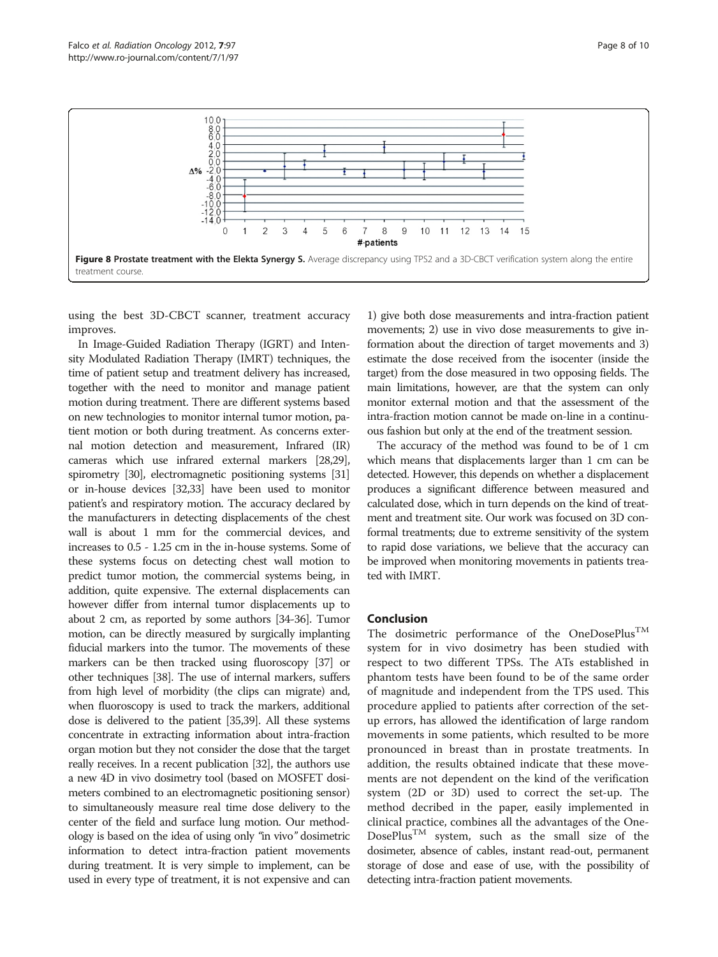

using the best 3D-CBCT scanner, treatment accuracy improves.

In Image-Guided Radiation Therapy (IGRT) and Intensity Modulated Radiation Therapy (IMRT) techniques, the time of patient setup and treatment delivery has increased, together with the need to monitor and manage patient motion during treatment. There are different systems based on new technologies to monitor internal tumor motion, patient motion or both during treatment. As concerns external motion detection and measurement, Infrared (IR) cameras which use infrared external markers [28,29], spirometry [30], electromagnetic positioning systems [31] or in-house devices [32,33] have been used to monitor patient's and respiratory motion. The accuracy declared by the manufacturers in detecting displacements of the chest wall is about 1 mm for the commercial devices, and increases to 0.5 - 1.25 cm in the in-house systems. Some of these systems focus on detecting chest wall motion to predict tumor motion, the commercial systems being, in addition, quite expensive. The external displacements can however differ from internal tumor displacements up to about 2 cm, as reported by some authors [34-36]. Tumor motion, can be directly measured by surgically implanting fiducial markers into the tumor. The movements of these markers can be then tracked using fluoroscopy [37] or other techniques [38]. The use of internal markers, suffers from high level of morbidity (the clips can migrate) and, when fluoroscopy is used to track the markers, additional dose is delivered to the patient [35,39]. All these systems concentrate in extracting information about intra-fraction organ motion but they not consider the dose that the target really receives. In a recent publication [32], the authors use a new 4D in vivo dosimetry tool (based on MOSFET dosimeters combined to an electromagnetic positioning sensor) to simultaneously measure real time dose delivery to the center of the field and surface lung motion. Our methodology is based on the idea of using only "in vivo" dosimetric information to detect intra-fraction patient movements during treatment. It is very simple to implement, can be used in every type of treatment, it is not expensive and can

1) give both dose measurements and intra-fraction patient movements; 2) use in vivo dose measurements to give information about the direction of target movements and 3) estimate the dose received from the isocenter (inside the target) from the dose measured in two opposing fields. The main limitations, however, are that the system can only monitor external motion and that the assessment of the intra-fraction motion cannot be made on-line in a continuous fashion but only at the end of the treatment session.

The accuracy of the method was found to be of 1 cm which means that displacements larger than 1 cm can be detected. However, this depends on whether a displacement produces a significant difference between measured and calculated dose, which in turn depends on the kind of treatment and treatment site. Our work was focused on 3D conformal treatments; due to extreme sensitivity of the system to rapid dose variations, we believe that the accuracy can be improved when monitoring movements in patients treated with IMRT.

# Conclusion

The dosimetric performance of the OneDosePlus<sup>TM</sup> system for in vivo dosimetry has been studied with respect to two different TPSs. The ATs established in phantom tests have been found to be of the same order of magnitude and independent from the TPS used. This procedure applied to patients after correction of the setup errors, has allowed the identification of large random movements in some patients, which resulted to be more pronounced in breast than in prostate treatments. In addition, the results obtained indicate that these movements are not dependent on the kind of the verification system (2D or 3D) used to correct the set-up. The method decribed in the paper, easily implemented in clinical practice, combines all the advantages of the One- $DosePlus<sup>TM</sup>$  system, such as the small size of the dosimeter, absence of cables, instant read-out, permanent storage of dose and ease of use, with the possibility of detecting intra-fraction patient movements.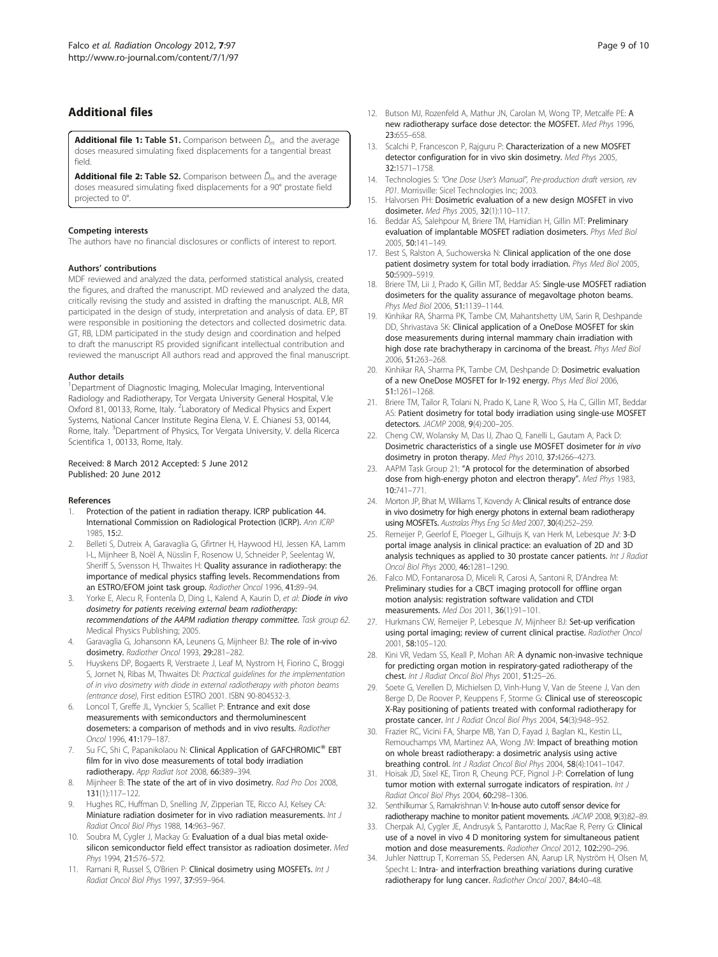# Additional files

**Additional file 1: Table S1.** Comparison between  $\bar{D}_m$  and the average doses measured simulating fixed displacements for a tangential breast field.

**Additional file 2: Table S2.** Comparison between  $\bar{D}_m$  and the average doses measured simulating fixed displacements for a 90° prostate field projected to 0°.

#### Competing interests

The authors have no financial disclosures or conflicts of interest to report.

#### Authors' contributions

MDF reviewed and analyzed the data, performed statistical analysis, created the figures, and drafted the manuscript. MD reviewed and analyzed the data, critically revising the study and assisted in drafting the manuscript. ALB, MR participated in the design of study, interpretation and analysis of data. EP, BT were responsible in positioning the detectors and collected dosimetric data. GT, RB, LDM participated in the study design and coordination and helped to draft the manuscript RS provided significant intellectual contribution and reviewed the manuscript All authors read and approved the final manuscript.

#### Author details

<sup>1</sup>Department of Diagnostic Imaging, Molecular Imaging, Interventional Radiology and Radiotherapy, Tor Vergata University General Hospital, V.le Oxford 81, 00133, Rome, Italy. <sup>2</sup>Laboratory of Medical Physics and Expert Systems, National Cancer Institute Regina Elena, V. E. Chianesi 53, 00144, Rome, Italy. <sup>3</sup>Department of Physics, Tor Vergata University, V. della Ricerca Scientifica 1, 00133, Rome, Italy.

#### Received: 8 March 2012 Accepted: 5 June 2012 Published: 20 June 2012

#### References

- 1. Protection of the patient in radiation therapy. ICRP publication 44. International Commission on Radiological Protection (ICRP). Ann ICRP 1985, 15:2.
- 2. Belleti S, Dutreix A, Garavaglia G, Gfirtner H, Haywood HJ, Jessen KA, Lamm I-L, Mijnheer B, Noël A, Nüsslin F, Rosenow U, Schneider P, Seelentag W, Sheriff S, Svensson H, Thwaites H: Quality assurance in radiotherapy: the importance of medical physics staffing levels. Recommendations from an ESTRO/EFOM joint task group. Radiother Oncol 1996, 41:89–94.
- 3. Yorke E, Alecu R, Fontenla D, Ding L, Kalend A, Kaurin D, et al: Diode in vivo dosimetry for patients receiving external beam radiotherapy: recommendations of the AAPM radiation therapy committee. Task group 62. Medical Physics Publishing; 2005.
- 4. Garavaglia G, Johansonn KA, Leunens G, Mijnheer BJ: The role of in-vivo dosimetry. Radiother Oncol 1993, 29:281-282.
- 5. Huyskens DP, Bogaerts R, Verstraete J, Leaf M, Nystrom H, Fiorino C, Broggi S, Jornet N, Ribas M, Thwaites DI: Practical guidelines for the implementation of in vivo dosimetry with diode in external radiotherapy with photon beams (entrance dose), First edition ESTRO 2001. ISBN 90-804532-3.
- 6. Loncol T, Greffe JL, Vynckier S, Scalliet P: Entrance and exit dose measurements with semiconductors and thermoluminescent dosemeters: a comparison of methods and in vivo results. Radiother Oncol 1996, 41:179–187.
- 7. Su FC, Shi C, Papanikolaou N: Clinical Application of GAFCHROMIC® EBT film for in vivo dose measurements of total body irradiation radiotherapy. App Radiat Isot 2008, 66:389–394.
- 8. Mijnheer B: The state of the art of in vivo dosimetry. Rad Pro Dos 2008, 131(1):117–122.
- 9. Hughes RC, Huffman D, Snelling JV, Zipperian TE, Ricco AJ, Kelsey CA: Miniature radiation dosimeter for in vivo radiation measurements. Int J Radiat Oncol Biol Phys 1988, 14:963–967.
- 10. Soubra M, Cygler J, Mackay G: Evaluation of a dual bias metal oxidesilicon semiconductor field effect transistor as radioation dosimeter. Med Phys 1994, 21:576–572.
- 11. Ramani R, Russel S, O'Brien P: Clinical dosimetry using MOSFETs. Int J Radiat Oncol Biol Phys 1997, 37:959–964.
- 12. Butson MJ, Rozenfeld A, Mathur JN, Carolan M, Wong TP, Metcalfe PE: A new radiotherapy surface dose detector: the MOSFET. Med Phys 1996, 23:655–658.
- 13. Scalchi P, Francescon P, Rajguru P: Characterization of a new MOSFET detector configuration for in vivo skin dosimetry. Med Phys 2005, 32:1571–1758.
- 14. Technologies S: "One Dose User's Manual", Pre-production draft version, rev P01. Morrisville: Sicel Technologies Inc; 2003.
- 15. Halvorsen PH: Dosimetric evaluation of a new design MOSFET in vivo dosimeter. Med Phys 2005, 32(1):110–117.
- 16. Beddar AS, Salehpour M, Briere TM, Hamidian H, Gillin MT: Preliminary evaluation of implantable MOSFET radiation dosimeters. Phys Med Biol 2005, 50:141–149.
- 17. Best S, Ralston A, Suchowerska N: Clinical application of the one dose patient dosimetry system for total body irradiation. Phys Med Biol 2005, 50:5909–5919.
- 18. Briere TM, Lii J, Prado K, Gillin MT, Beddar AS: Single-use MOSFET radiation dosimeters for the quality assurance of megavoltage photon beams. Phys Med Biol 2006, 51:1139-1144.
- 19. Kinhikar RA, Sharma PK, Tambe CM, Mahantshetty UM, Sarin R, Deshpande DD, Shrivastava SK: Clinical application of a OneDose MOSFET for skin dose measurements during internal mammary chain irradiation with high dose rate brachytherapy in carcinoma of the breast. Phys Med Biol 2006, 51:263–268.
- 20. Kinhikar RA, Sharma PK, Tambe CM, Deshpande D: Dosimetric evaluation of a new OneDose MOSFET for Ir-192 energy. Phys Med Biol 2006, 51:1261–1268.
- 21. Briere TM, Tailor R, Tolani N, Prado K, Lane R, Woo S, Ha C, Gillin MT, Beddar AS: Patient dosimetry for total body irradiation using single-use MOSFET detectors. JACMP 2008, 9(4):200–205.
- 22. Cheng CW, Wolansky M, Das IJ, Zhao Q, Fanelli L, Gautam A, Pack D: Dosimetric characteristics of a single use MOSFET dosimeter for in vivo dosimetry in proton therapy. Med Phys 2010, 37:4266-4273.
- 23. AAPM Task Group 21: "A protocol for the determination of absorbed dose from high-energy photon and electron therapy". Med Phys 1983, 10:741–771.
- 24. Morton JP, Bhat M, Williams T, Kovendy A: Clinical results of entrance dose in vivo dosimetry for high energy photons in external beam radiotherapy using MOSFETs. Australas Phys Eng Sci Med 2007, 30(4):252–259.
- 25. Remeijer P, Geerlof E, Ploeger L, Gilhuijs K, van Herk M, Lebesque JV: 3-D portal image analysis in clinical practice: an evaluation of 2D and 3D analysis techniques as applied to 30 prostate cancer patients. Int J Radiat Oncol Biol Phys 2000, 46:1281–1290.
- 26. Falco MD, Fontanarosa D, Miceli R, Carosi A, Santoni R, D'Andrea M: Preliminary studies for a CBCT imaging protocoll for offline organ motion analysis: registration software validation and CTDI measurements. Med Dos 2011, 36(1):91–101.
- 27. Hurkmans CW, Remeijer P, Lebesque JV, Mijnheer BJ: Set-up verification using portal imaging; review of current clinical practise. Radiother Oncol 2001, 58:105–120.
- 28. Kini VR, Vedam SS, Keall P, Mohan AR: A dynamic non-invasive technique for predicting organ motion in respiratory-gated radiotherapy of the chest. Int J Radiat Oncol Biol Phys 2001, 51:25–26.
- 29. Soete G, Verellen D, Michielsen D, Vinh-Hung V, Van de Steene J, Van den Berge D, De Roover P, Keuppens F, Storme G: Clinical use of stereoscopic X-Ray positioning of patients treated with conformal radiotherapy for prostate cancer. Int J Radiat Oncol Biol Phys 2004, 54(3):948-952.
- 30. Frazier RC, Vicini FA, Sharpe MB, Yan D, Fayad J, Baglan KL, Kestin LL, Remouchamps VM, Martinez AA, Wong JW: Impact of breathing motion on whole breast radiotherapy: a dosimetric analysis using active breathing control. Int J Radiat Oncol Biol Phys 2004, 58(4):1041–1047.
- 31. Hoisak JD, Sixel KE, Tiron R, Cheung PCF, Pignol J-P: Correlation of lung tumor motion with external surrogate indicators of respiration. Int J Radiat Oncol Biol Phys 2004, 60:298–1306.
- 32. Senthilkumar S, Ramakrishnan V: In-house auto cutoff sensor device for radiotherapy machine to monitor patient movements. JACMP 2008, 9(3):82–89.
- 33. Cherpak AJ, Cygler JE, Andrusyk S, Pantarotto J, MacRae R, Perry G: Clinical use of a novel in vivo 4 D monitoring system for simultaneous patient motion and dose measurements. Radiother Oncol 2012, 102:290–296.
- 34. Juhler Nøttrup T, Korreman SS, Pedersen AN, Aarup LR, Nyström H, Olsen M, Specht L: Intra- and interfraction breathing variations during curative radiotherapy for lung cancer. Radiother Oncol 2007, 84:40–48.